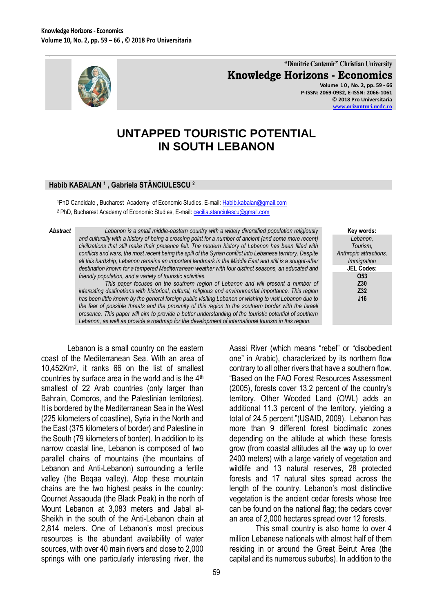

**"Dimitrie Cantemir" Christian University Knowledge Horizons - Economics Volume 1 0 , No. 2, pp. 59 - 66**

**P-ISSN: 2069-0932, E-ISSN: 2066-1061 © 2018 Pro Universitaria [www.orizonturi.ucdc.ro](http://www.orizonturi.ucdc.ro/)**

> **Key words:** *Lebanon, Tourism, Anthropic attractions, Immigration* **JEL Codes: O53 Z30 Z32**

# **UNTAPPED TOURISTIC POTENTIAL IN SOUTH LEBANON**

#### **Habib KABALAN <sup>1</sup> , Gabriela STĂNCIULESCU <sup>2</sup>**

1PhD Candidate, Bucharest Academy of Economic Studies, E-mail: [Habib.kabalan@gmail.com](mailto:Habib.kabalan@gmail.com) <sup>2</sup> PhD, Bucharest Academy of Economic Studies, E-mail: [cecilia.stanciulescu@gmail.com](mailto:cecilia.stanciulescu@gmail.com)

*Abstract Lebanon is a small middle-eastern country with a widely diversified population religiously and culturally with a history of being a crossing point for a number of ancient (and some more recent) civilizations that still make their presence felt. The modern history of Lebanon has been filled with conflicts and wars, the most recent being the spill of the Syrian conflict into Lebanese territory. Despite all this hardship, Lebanon remains an important landmark in the Middle East and still is a sought-after destination known for a tempered Mediterranean weather with four distinct seasons, an educated and friendly population, and a variety of touristic activities.* 

> *This paper focuses on the southern region of Lebanon and will present a number of interesting destinations with historical, cultural, religious and environmental importance. This region has been little known by the general foreign public visiting Lebanon or wishing to visit Lebanon due to the fear of possible threats and the proximity of this region to the southern border with the Israeli presence. This paper will aim to provide a better understanding of the touristic potential of southern Lebanon, as well as provide a roadmap for the development of international tourism in this region.*

Lebanon is a small country on the eastern coast of the Mediterranean Sea. With an area of 10,452Km<sup>2</sup> , it ranks 66 on the list of smallest countries by surface area in the world and is the  $4<sup>th</sup>$ smallest of 22 Arab countries (only larger than Bahrain, Comoros, and the Palestinian territories). It is bordered by the Mediterranean Sea in the West (225 kilometers of coastline), Syria in the North and the East (375 kilometers of border) and Palestine in the South (79 kilometers of border). In addition to its narrow coastal line, Lebanon is composed of two parallel chains of mountains (the mountains of Lebanon and Anti-Lebanon) surrounding a fertile valley (the Beqaa valley). Atop these mountain chains are the two highest peaks in the country: Qournet Assaouda (the Black Peak) in the north of Mount Lebanon at 3,083 meters and Jabal al-Sheikh in the south of the Anti-Lebanon chain at 2,814 meters. One of Lebanon's most precious resources is the abundant availability of water sources, with over 40 main rivers and close to 2,000 springs with one particularly interesting river, the

**J16** Aassi River (which means "rebel" or "disobedient one" in Arabic), characterized by its northern flow contrary to all other rivers that have a southern flow. "Based on the FAO Forest Resources Assessment (2005), forests cover 13.2 percent of the country's territory. Other Wooded Land (OWL) adds an additional 11.3 percent of the territory, yielding a total of 24.5 percent."(USAID, 2009). Lebanon has more than 9 different forest bioclimatic zones depending on the altitude at which these forests grow (from coastal altitudes all the way up to over 2400 meters) with a large variety of vegetation and wildlife and 13 natural reserves, 28 protected forests and 17 natural sites spread across the

length of the country. Lebanon's most distinctive vegetation is the ancient cedar forests whose tree can be found on the national flag; the cedars cover an area of 2,000 hectares spread over 12 forests. This small country is also home to over 4

million Lebanese nationals with almost half of them residing in or around the Great Beirut Area (the capital and its numerous suburbs). In addition to the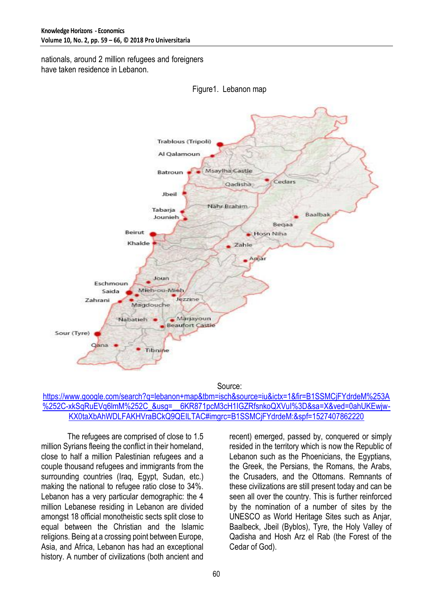nationals, around 2 million refugees and foreigners have taken residence in Lebanon.





Source:

#### [https://www.google.com/search?q=lebanon+map&tbm=isch&source=iu&ictx=1&fir=B1SSMCjFYdrdeM%253A](https://www.google.com/search?q=lebanon+map&tbm=isch&source=iu&ictx=1&fir=B1SSMCjFYdrdeM%253A%252C-xkSqRuEVq6lmM%252C_&usg=__6KR871pcM3cH1IGZRfsnkoQXVuI%3D&sa=X&ved=0ahUKEwjw-KX0taXbAhWDLFAKHVraBCkQ9QEILTAC#imgrc=B1SSMCjFYdrdeM:&spf=1527407862220) %252C-xkSqRuEVq6lmM%252C\_&usq=\_\_6KR871pcM3cH1IGZRfsnkoQXVuI%3D&sa=X&ved=0ahUKEwiw-[KX0taXbAhWDLFAKHVraBCkQ9QEILTAC#imgrc=B1SSMCjFYdrdeM:&spf=1527407862220](https://www.google.com/search?q=lebanon+map&tbm=isch&source=iu&ictx=1&fir=B1SSMCjFYdrdeM%253A%252C-xkSqRuEVq6lmM%252C_&usg=__6KR871pcM3cH1IGZRfsnkoQXVuI%3D&sa=X&ved=0ahUKEwjw-KX0taXbAhWDLFAKHVraBCkQ9QEILTAC#imgrc=B1SSMCjFYdrdeM:&spf=1527407862220)

The refugees are comprised of close to 1.5 million Syrians fleeing the conflict in their homeland, close to half a million Palestinian refugees and a couple thousand refugees and immigrants from the surrounding countries (Iraq, Egypt, Sudan, etc.) making the national to refugee ratio close to 34%. Lebanon has a very particular demographic: the 4 million Lebanese residing in Lebanon are divided amongst 18 official monotheistic sects split close to equal between the Christian and the Islamic religions. Being at a crossing point between Europe, Asia, and Africa, Lebanon has had an exceptional history. A number of civilizations (both ancient and

recent) emerged, passed by, conquered or simply resided in the territory which is now the Republic of Lebanon such as the Phoenicians, the Egyptians, the Greek, the Persians, the Romans, the Arabs, the Crusaders, and the Ottomans. Remnants of these civilizations are still present today and can be seen all over the country. This is further reinforced by the nomination of a number of sites by the UNESCO as World Heritage Sites such as Anjar, Baalbeck, Jbeil (Byblos), Tyre, the Holy Valley of Qadisha and Hosh Arz el Rab (the Forest of the Cedar of God).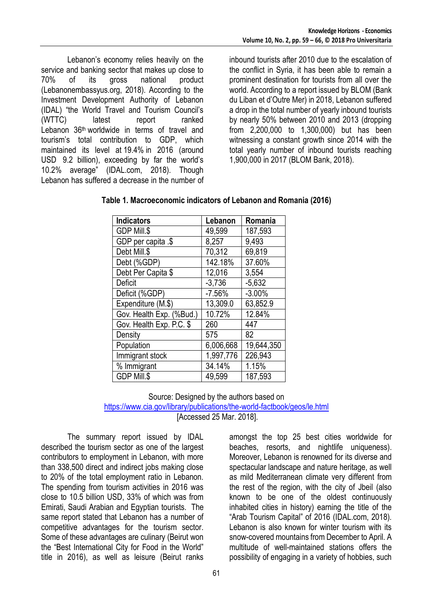Lebanon's economy relies heavily on the service and banking sector that makes up close to 70% of its gross national product (Lebanonembassyus.org, 2018). According to the Investment Development Authority of Lebanon (IDAL) "the World Travel and Tourism Council's (WTTC) latest report ranked Lebanon36th worldwide in terms of travel and tourism's total contribution to GDP, which maintained its level at 19.4% in 2016 (around USD 9.2 billion), exceeding by far the world's 10.2% average" (IDAL.com, 2018). Though Lebanon has suffered a decrease in the number of

inbound tourists after 2010 due to the escalation of the conflict in Syria, it has been able to remain a prominent destination for tourists from all over the world. According to a report issued by BLOM (Bank du Liban et d'Outre Mer) in 2018, Lebanon suffered a drop in the total number of yearly inbound tourists by nearly 50% between 2010 and 2013 (dropping from 2,200,000 to 1,300,000) but has been witnessing a constant growth since 2014 with the total yearly number of inbound tourists reaching 1,900,000 in 2017 (BLOM Bank, 2018).

| <b>Indicators</b>        | Lebanon   | Romania    |
|--------------------------|-----------|------------|
| GDP Mill.\$              | 49,599    | 187,593    |
| GDP per capita .\$       | 8,257     | 9,493      |
| Debt Mill.\$             | 70,312    | 69,819     |
| Debt (%GDP)              | 142.18%   | 37.60%     |
| Debt Per Capita \$       | 12,016    | 3,554      |
| Deficit                  | $-3,736$  | $-5,632$   |
| Deficit (%GDP)           | $-7.56%$  | $-3.00%$   |
| Expenditure (M.\$)       | 13,309.0  | 63,852.9   |
| Gov. Health Exp. (%Bud.) | 10.72%    | 12.84%     |
| Gov. Health Exp. P.C. \$ | 260       | 447        |
| Density                  | 575       | 82         |
| Population               | 6,006,668 | 19,644,350 |
| Immigrant stock          | 1,997,776 | 226,943    |
| % Immigrant              | 34.14%    | 1.15%      |
| <b>GDP Mill.\$</b>       | 49,599    | 187,593    |

### **Table 1. Macroeconomic indicators of Lebanon and Romania (2016)**

## Source: Designed by the authors based on <https://www.cia.gov/library/publications/the-world-factbook/geos/le.html>

[Accessed 25 Mar. 2018].

The summary report issued by IDAL described the tourism sector as one of the largest contributors to employment in Lebanon, with more than 338,500 direct and indirect jobs making close to 20% of the total employment ratio in Lebanon. The spending from tourism activities in 2016 was close to 10.5 billion USD, 33% of which was from Emirati, Saudi Arabian and Egyptian tourists. The same report stated that Lebanon has a number of competitive advantages for the tourism sector. Some of these advantages are culinary (Beirut won the "Best International City for Food in the World" title in 2016), as well as leisure (Beirut ranks amongst the top 25 best cities worldwide for beaches, resorts, and nightlife uniqueness). Moreover, Lebanon is renowned for its diverse and spectacular landscape and nature heritage, as well as mild Mediterranean climate very different from the rest of the region, with the city of Jbeil (also known to be one of the oldest continuously inhabited cities in history) earning the title of the "Arab Tourism Capital" of 2016 (IDAL.com, 2018). Lebanon is also known for winter tourism with its snow-covered mountains from December to April. A multitude of well-maintained stations offers the possibility of engaging in a variety of hobbies, such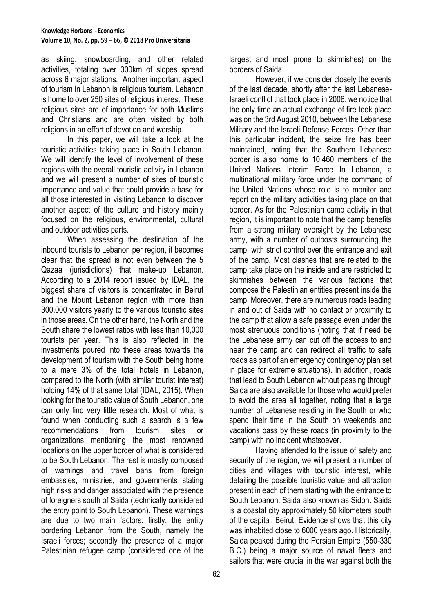as skiing, snowboarding, and other related activities, totaling over 300km of slopes spread across 6 major stations. Another important aspect of tourism in Lebanon is religious tourism. Lebanon is home to over 250 sites of religious interest. These religious sites are of importance for both Muslims and Christians and are often visited by both religions in an effort of devotion and worship.

In this paper, we will take a look at the touristic activities taking place in South Lebanon. We will identify the level of involvement of these regions with the overall touristic activity in Lebanon and we will present a number of sites of touristic importance and value that could provide a base for all those interested in visiting Lebanon to discover another aspect of the culture and history mainly focused on the religious, environmental, cultural and outdoor activities parts.

When assessing the destination of the inbound tourists to Lebanon per region, it becomes clear that the spread is not even between the 5 Qazaa (jurisdictions) that make-up Lebanon. According to a 2014 report issued by IDAL, the biggest share of visitors is concentrated in Beirut and the Mount Lebanon region with more than 300,000 visitors yearly to the various touristic sites in those areas. On the other hand, the North and the South share the lowest ratios with less than 10,000 tourists per year. This is also reflected in the investments poured into these areas towards the development of tourism with the South being home to a mere 3% of the total hotels in Lebanon, compared to the North (with similar tourist interest) holding 14% of that same total (IDAL, 2015). When looking for the touristic value of South Lebanon, one can only find very little research. Most of what is found when conducting such a search is a few recommendations from tourism sites or organizations mentioning the most renowned locations on the upper border of what is considered to be South Lebanon. The rest is mostly composed of warnings and travel bans from foreign embassies, ministries, and governments stating high risks and danger associated with the presence of foreigners south of Saida (technically considered the entry point to South Lebanon). These warnings are due to two main factors: firstly, the entity bordering Lebanon from the South, namely the Israeli forces; secondly the presence of a major Palestinian refugee camp (considered one of the

largest and most prone to skirmishes) on the borders of Saida.

However, if we consider closely the events of the last decade, shortly after the last Lebanese-Israeli conflict that took place in 2006, we notice that the only time an actual exchange of fire took place was on the 3rd August 2010, between the Lebanese Military and the Israeli Defense Forces. Other than this particular incident, the seize fire has been maintained, noting that the Southern Lebanese border is also home to 10,460 members of the United Nations Interim Force In Lebanon, a multinational military force under the command of the United Nations whose role is to monitor and report on the military activities taking place on that border. As for the Palestinian camp activity in that region, it is important to note that the camp benefits from a strong military oversight by the Lebanese army, with a number of outposts surrounding the camp, with strict control over the entrance and exit of the camp. Most clashes that are related to the camp take place on the inside and are restricted to skirmishes between the various factions that compose the Palestinian entities present inside the camp. Moreover, there are numerous roads leading in and out of Saida with no contact or proximity to the camp that allow a safe passage even under the most strenuous conditions (noting that if need be the Lebanese army can cut off the access to and near the camp and can redirect all traffic to safe roads as part of an emergency contingency plan set in place for extreme situations). In addition, roads that lead to South Lebanon without passing through Saida are also available for those who would prefer to avoid the area all together, noting that a large number of Lebanese residing in the South or who spend their time in the South on weekends and vacations pass by these roads (in proximity to the camp) with no incident whatsoever.

Having attended to the issue of safety and security of the region, we will present a number of cities and villages with touristic interest, while detailing the possible touristic value and attraction present in each of them starting with the entrance to South Lebanon: Saida also known as Sidon. Saida is a coastal city approximately 50 kilometers south of the capital, Beirut. Evidence shows that this city was inhabited close to 6000 years ago. Historically, Saida peaked during the Persian Empire (550-330 B.C.) being a major source of naval fleets and sailors that were crucial in the war against both the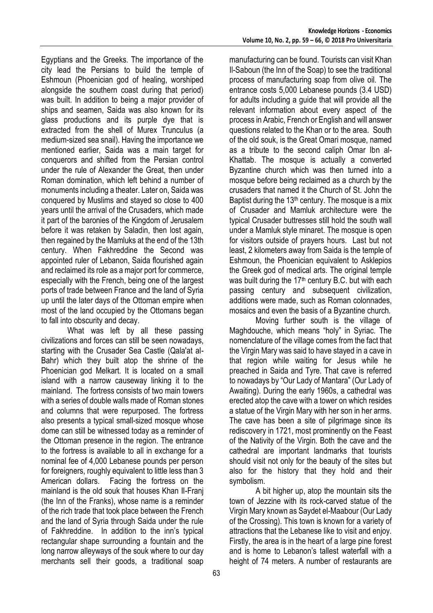Egyptians and the Greeks. The importance of the city lead the Persians to build the temple of Eshmoun (Phoenician god of healing, worshiped alongside the southern coast during that period) was built. In addition to being a major provider of ships and seamen, Saida was also known for its glass productions and its purple dye that is extracted from the shell of Murex Trunculus (a medium-sized sea snail). Having the importance we mentioned earlier, Saida was a main target for conquerors and shifted from the Persian control under the rule of Alexander the Great, then under Roman domination, which left behind a number of monuments including a theater. Later on, Saida was conquered by Muslims and stayed so close to 400 years until the arrival of the Crusaders, which made it part of the baronies of the Kingdom of Jerusalem before it was retaken by Saladin, then lost again, then regained by the Mamluks at the end of the 13th century. When Fakhreddine the Second was appointed ruler of Lebanon, Saida flourished again and reclaimed its role as a major port for commerce, especially with the French, being one of the largest ports of trade between France and the land of Syria up until the later days of the Ottoman empire when most of the land occupied by the Ottomans began to fall into obscurity and decay.

What was left by all these passing civilizations and forces can still be seen nowadays, starting with the Crusader Sea Castle (Qala'at al-Bahr) which they built atop the shrine of the Phoenician god Melkart. It is located on a small island with a narrow causeway linking it to the mainland. The fortress consists of two main towers with a series of double walls made of Roman stones and columns that were repurposed. The fortress also presents a typical small-sized mosque whose dome can still be witnessed today as a reminder of the Ottoman presence in the region. The entrance to the fortress is available to all in exchange for a nominal fee of 4,000 Lebanese pounds per person for foreigners, roughly equivalent to little less than 3 American dollars. Facing the fortress on the mainland is the old souk that houses Khan Il-Franj (the Inn of the Franks), whose name is a reminder of the rich trade that took place between the French and the land of Syria through Saida under the rule of Fakhreddine. In addition to the inn's typical rectangular shape surrounding a fountain and the long narrow alleyways of the souk where to our day merchants sell their goods, a traditional soap manufacturing can be found. Tourists can visit Khan Il-Saboun (the Inn of the Soap) to see the traditional process of manufacturing soap from olive oil. The entrance costs 5,000 Lebanese pounds (3.4 USD) for adults including a guide that will provide all the relevant information about every aspect of the process in Arabic, French or English and will answer questions related to the Khan or to the area. South of the old souk, is the Great Omari mosque, named as a tribute to the second caliph Omar Ibn al-Khattab. The mosque is actually a converted Byzantine church which was then turned into a mosque before being reclaimed as a church by the crusaders that named it the Church of St. John the Baptist during the 13<sup>th</sup> century. The mosque is a mix of Crusader and Mamluk architecture were the typical Crusader buttresses still hold the south wall under a Mamluk style minaret. The mosque is open for visitors outside of prayers hours. Last but not least, 2 kilometers away from Saida is the temple of Eshmoun, the Phoenician equivalent to Asklepios the Greek god of medical arts. The original temple was built during the  $17<sup>th</sup>$  century B.C. but with each passing century and subsequent civilization, additions were made, such as Roman colonnades, mosaics and even the basis of a Byzantine church.

Moving further south is the village of Maghdouche, which means "holy" in Syriac. The nomenclature of the village comes from the fact that the Virgin Mary was said to have stayed in a cave in that region while waiting for Jesus while he preached in Saida and Tyre. That cave is referred to nowadays by "Our Lady of Mantara" (Our Lady of Awaiting). During the early 1960s, a cathedral was erected atop the cave with a tower on which resides a statue of the Virgin Mary with her son in her arms. The cave has been a site of pilgrimage since its rediscovery in 1721, most prominently on the Feast of the Nativity of the Virgin. Both the cave and the cathedral are important landmarks that tourists should visit not only for the beauty of the sites but also for the history that they hold and their symbolism.

A bit higher up, atop the mountain sits the town of Jezzine with its rock-carved statue of the Virgin Mary known as Saydet el-Maabour (Our Lady of the Crossing). This town is known for a variety of attractions that the Lebanese like to visit and enjoy. Firstly, the area is in the heart of a large pine forest and is home to Lebanon's tallest waterfall with a height of 74 meters. A number of restaurants are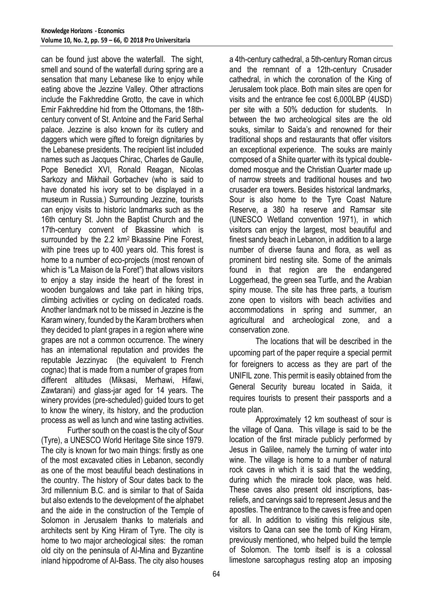can be found just above the waterfall. The sight, smell and sound of the waterfall during spring are a sensation that many Lebanese like to enjoy while eating above the Jezzine Valley. Other attractions include the Fakhreddine Grotto, the cave in which Emir Fakhreddine hid from the Ottomans, the 18thcentury convent of St. Antoine and the Farid Serhal palace. Jezzine is also known for its cutlery and daggers which were gifted to foreign dignitaries by the Lebanese presidents. The recipient list included names such as Jacques Chirac, Charles de Gaulle, Pope Benedict XVI, Ronald Reagan, Nicolas Sarkozy and Mikhail Gorbachev (who is said to have donated his ivory set to be displayed in a museum in Russia.) Surrounding Jezzine, tourists can enjoy visits to historic landmarks such as the 16th century St. John the Baptist Church and the 17th-century convent of Bkassine which is surrounded by the 2.2 km<sup>2</sup> Bkassine Pine Forest, with pine trees up to 400 years old. This forest is home to a number of eco-projects (most renown of which is "La Maison de la Foret") that allows visitors to enjoy a stay inside the heart of the forest in wooden bungalows and take part in hiking trips, climbing activities or cycling on dedicated roads. Another landmark not to be missed in Jezzine is the Karam winery, founded by the Karam brothers when they decided to plant grapes in a region where wine grapes are not a common occurrence. The winery has an international reputation and provides the reputable Jezzinyac (the equivalent to French cognac) that is made from a number of grapes from different altitudes (Miksasi, Merhawi, Hifawi, Zawtarani) and glass-jar aged for 14 years. The winery provides (pre-scheduled) guided tours to get to know the winery, its history, and the production process as well as lunch and wine tasting activities.

Further south on the coast is the city of Sour (Tyre), a UNESCO World Heritage Site since 1979. The city is known for two main things: firstly as one of the most excavated cities in Lebanon, secondly as one of the most beautiful beach destinations in the country. The history of Sour dates back to the 3rd millennium B.C. and is similar to that of Saida but also extends to the development of the alphabet and the aide in the construction of the Temple of Solomon in Jerusalem thanks to materials and architects sent by King Hiram of Tyre. The city is home to two major archeological sites: the roman old city on the peninsula of Al-Mina and Byzantine inland hippodrome of Al-Bass. The city also houses

a 4th-century cathedral, a 5th-century Roman circus and the remnant of a 12th-century Crusader cathedral, in which the coronation of the King of Jerusalem took place. Both main sites are open for visits and the entrance fee cost 6,000LBP (4USD) per site with a 50% deduction for students. In between the two archeological sites are the old souks, similar to Saida's and renowned for their traditional shops and restaurants that offer visitors an exceptional experience. The souks are mainly composed of a Shiite quarter with its typical doubledomed mosque and the Christian Quarter made up of narrow streets and traditional houses and two crusader era towers. Besides historical landmarks, Sour is also home to the Tyre Coast Nature Reserve, a 380 ha reserve and Ramsar site (UNESCO Wetland convention 1971), in which visitors can enjoy the largest, most beautiful and finest sandy beach in Lebanon, in addition to a large number of diverse fauna and flora, as well as prominent bird nesting site. Some of the animals found in that region are the endangered Loggerhead, the green sea Turtle, and the Arabian spiny mouse. The site has three parts, a tourism zone open to visitors with beach activities and accommodations in spring and summer, an agricultural and archeological zone, and a conservation zone.

The locations that will be described in the upcoming part of the paper require a special permit for foreigners to access as they are part of the UNIFIL zone. This permit is easily obtained from the General Security bureau located in Saida, it requires tourists to present their passports and a route plan.

Approximately 12 km southeast of sour is the village of Qana. This village is said to be the location of the first miracle publicly performed by Jesus in Galilee, namely the turning of water into wine. The village is home to a number of natural rock caves in which it is said that the wedding, during which the miracle took place, was held. These caves also present old inscriptions, basreliefs, and carvings said to represent Jesus and the apostles. The entrance to the caves is free and open for all. In addition to visiting this religious site, visitors to Qana can see the tomb of King Hiram, previously mentioned, who helped build the temple of Solomon. The tomb itself is is a colossal limestone sarcophagus resting atop an imposing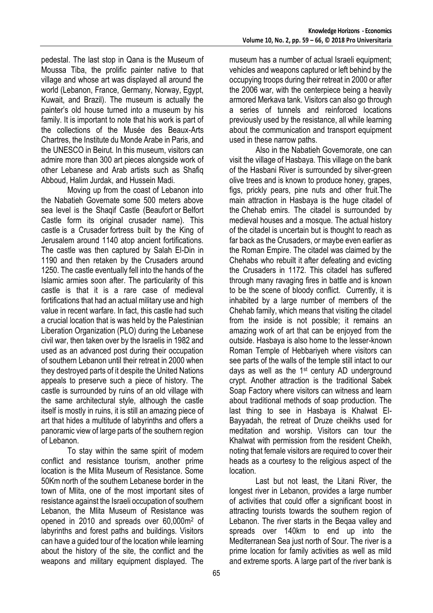pedestal. The last stop in Qana is the Museum of Moussa Tiba, the prolific painter native to that village and whose art was displayed all around the world (Lebanon, France, Germany, Norway, Egypt, Kuwait, and Brazil). The museum is actually the painter's old house turned into a museum by his family. It is important to note that his work is part of the collections of the Musée des Beaux-Arts Chartres, the Institute du Monde Arabe in Paris, and the UNESCO in Beirut. In this museum, visitors can admire more than 300 art pieces alongside work of other Lebanese and Arab artists such as Shafiq Abboud, Halim Jurdak, and Hussein Madi.

Moving up from the coast of Lebanon into the Nabatieh Governate some 500 meters above sea level is the Shaqif Castle (Beaufort or Belfort Castle form its original crusader name). This castle is a Crusader fortress built by the King of Jerusalem around 1140 atop ancient fortifications. The castle was then captured by Salah El-Din in 1190 and then retaken by the Crusaders around 1250. The castle eventually fell into the hands of the Islamic armies soon after. The particularity of this castle is that it is a rare case of medieval fortifications that had an actual military use and high value in recent warfare. In fact, this castle had such a crucial location that is was held by the Palestinian Liberation Organization (PLO) during the Lebanese civil war, then taken over by the Israelis in 1982 and used as an advanced post during their occupation of southern Lebanon until their retreat in 2000 when they destroyed parts of it despite the United Nations appeals to preserve such a piece of history. The castle is surrounded by ruins of an old village with the same architectural style, although the castle itself is mostly in ruins, it is still an amazing piece of art that hides a multitude of labyrinths and offers a panoramic view of large parts of the southern region of Lebanon.

To stay within the same spirit of modern conflict and resistance tourism, another prime location is the Mlita Museum of Resistance. Some 50Km north of the southern Lebanese border in the town of Mlita, one of the most important sites of resistance against the Israeli occupation of southern Lebanon, the Mlita Museum of Resistance was opened in 2010 and spreads over 60,000m<sup>2</sup> of labyrinths and forest paths and buildings. Visitors can have a guided tour of the location while learning about the history of the site, the conflict and the weapons and military equipment displayed. The

museum has a number of actual Israeli equipment; vehicles and weapons captured or left behind by the occupying troops during their retreat in 2000 or after the 2006 war, with the centerpiece being a heavily armored Merkava tank. Visitors can also go through a series of tunnels and reinforced locations previously used by the resistance, all while learning about the communication and transport equipment used in these narrow paths.

Also in the Nabatieh Governorate, one can visit the village of Hasbaya. This village on the bank of the Hasbani River is surrounded by silver-green olive trees and is known to produce honey, grapes, figs, prickly pears, pine nuts and other fruit.The main attraction in Hasbaya is the huge citadel of the [Chehab emirs.](http://en.wikipedia.org/wiki/Shihab_family) The citadel is surrounded by medieval houses and a mosque. The actual history of the citadel is uncertain but is thought to reach as far back as the Crusaders, or maybe even earlier as the Roman Empire. The citadel was claimed by the [Chehabs](http://en.wikipedia.org/wiki/Shihab_family) who rebuilt it after defeating and evicting the Crusaders in 1172. This citadel has suffered through many ravaging fires in battle and is known to be the scene of bloody conflict. Currently, it is inhabited by a large number of members of the Chehab family, which means that visiting the citadel from the inside is not possible; it remains an amazing work of art that can be enjoyed from the outside. Hasbaya is also home to the lesser-known Roman Temple of Hebbariyeh where visitors can see parts of the walls of the temple still intact to our days as well as the 1<sup>st</sup> century AD underground crypt. Another attraction is the traditional Sabek Soap Factory where visitors can witness and learn about traditional methods of soap production. The last thing to see in Hasbaya is Khalwat El-Bayyadah, the retreat of Druze cheikhs used for meditation and worship. Visitors can tour the Khalwat with permission from the resident Cheikh, noting that female visitors are required to cover their heads as a courtesy to the religious aspect of the location.

Last but not least, the Litani River, the longest river in Lebanon, provides a large number of activities that could offer a significant boost in attracting tourists towards the southern region of Lebanon. The river starts in the Beqaa valley and spreads over 140km to end up into the Mediterranean Sea just north of Sour. The river is a prime location for family activities as well as mild and extreme sports. A large part of the river bank is